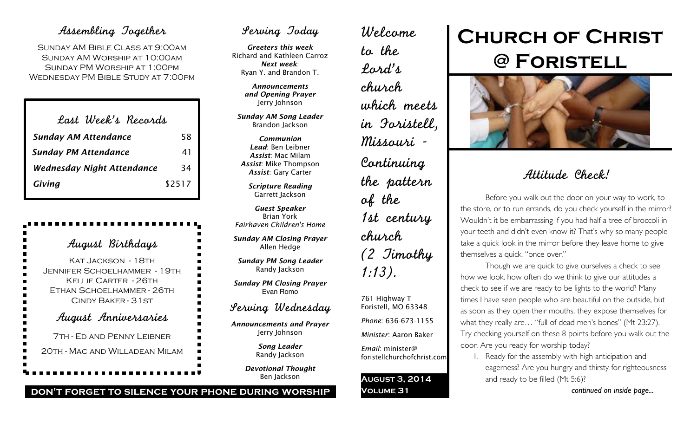# Assembling Together

Sunday AM Bible Class at 9:00am Sunday AM Worship at 10:00am Sunday PM Worship at 1:00pm Wednesday PM Bible Study at 7:00pm

| Last Week's Records         |        |
|-----------------------------|--------|
| <b>Sunday AM Attendance</b> | 58     |
| <b>Sunday PM Attendance</b> | 41     |
| Wednesday Night Attendance  | 34     |
| Giving                      | \$2517 |

| August Birthdays                                                                                                                              |
|-----------------------------------------------------------------------------------------------------------------------------------------------|
| Kat Jackson - 18th<br>■<br>JENNIFER SCHOELHAMMER - 19TH<br>×<br>Kellie Carter - 26th<br>■<br>ETHAN SCHOELHAMMER - 26TH<br>CINDY BAKER - 31 ST |
| August Anniversaries                                                                                                                          |
| 7TH - ED AND PENNY LEIBNER<br>20TH - MAC AND WILLADEAN MILAM                                                                                  |

# Serving Today

*Greeters this week* Richard and Kathleen Carroz *Next week*: Ryan Y. and Brandon T.

> *Announcements and Opening Prayer* Jerry Johnson

*Sunday AM Song Leader* Brandon Jackson

*Communion Lead*: Ben Leibner *Assist*: Mac Milam *Assist*: Mike Thompson *Assist*: Gary Carter

> *Scripture Reading* Garrett Jackson

*Guest Speaker* Brian York *Fairhaven Children's Home*

*Sunday AM Closing Prayer* Allen Hedge

*Sunday PM Song Leader* Randy Jackson

*Sunday PM Closing Prayer* Evan Romo

## Serving Wednesday

*Announcements and Prayer* Jerry Johnson

> *Song Leader* Randy Jackson

*Devotional Thought* Ben Jackson

**don't forget to silence your phone during worship**

Welcome to the Lord's church which meets in Foristell, Missouri - Continuing the pattern of the 1st century church (2 Timothy 1:13).

761 Highway T Foristell, MO 63348 *Phone*: 636-673-1155 *Minister*: Aaron Baker

*Email*: minister@ foristellchurchofchrist.com

**August 3, 2014 Volume 31**

# **Church of Christ @ Foristell**



# Attitude Check!

Before you walk out the door on your way to work, to the store, or to run errands, do you check yourself in the mirror? Wouldn't it be embarrassing if you had half a tree of broccoli in your teeth and didn't even know it? That's why so many people take a quick look in the mirror before they leave home to give themselves a quick, "once over."

Though we are quick to give ourselves a check to see how we look, how often do we think to give our attitudes a check to see if we are ready to be lights to the world? Many times I have seen people who are beautiful on the outside, but as soon as they open their mouths, they expose themselves for what they really are… "full of dead men's bones" (Mt 23:27). Try checking yourself on these 8 points before you walk out the door. Are you ready for worship today?

1. Ready for the assembly with high anticipation and eagerness? Are you hungry and thirsty for righteousness and ready to be filled (Mt 5:6)?

*continued on inside page...*